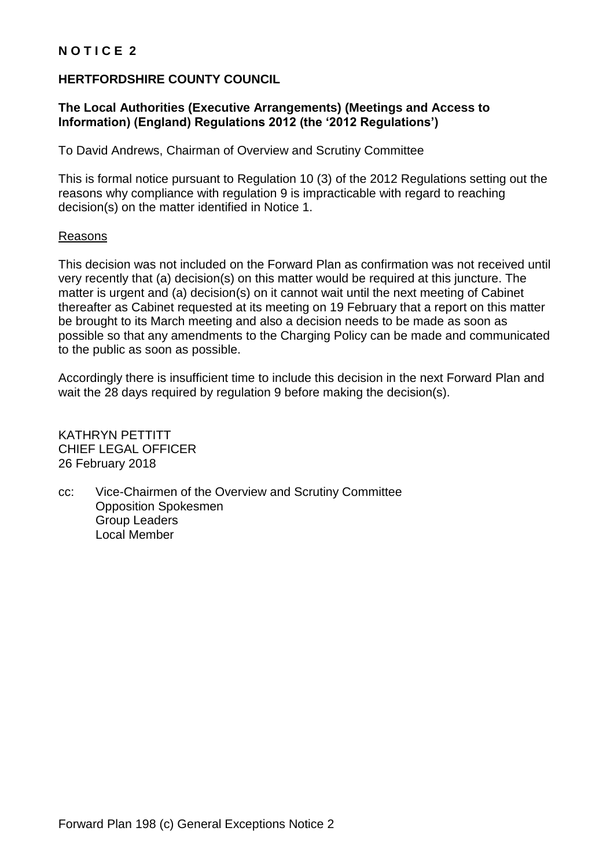## **N O T I C E 2**

## **HERTFORDSHIRE COUNTY COUNCIL**

## **The Local Authorities (Executive Arrangements) (Meetings and Access to Information) (England) Regulations 2012 (the '2012 Regulations')**

To David Andrews, Chairman of Overview and Scrutiny Committee

This is formal notice pursuant to Regulation 10 (3) of the 2012 Regulations setting out the reasons why compliance with regulation 9 is impracticable with regard to reaching decision(s) on the matter identified in Notice 1.

## Reasons

This decision was not included on the Forward Plan as confirmation was not received until very recently that (a) decision(s) on this matter would be required at this juncture. The matter is urgent and (a) decision(s) on it cannot wait until the next meeting of Cabinet thereafter as Cabinet requested at its meeting on 19 February that a report on this matter be brought to its March meeting and also a decision needs to be made as soon as possible so that any amendments to the Charging Policy can be made and communicated to the public as soon as possible.

Accordingly there is insufficient time to include this decision in the next Forward Plan and wait the 28 days required by regulation 9 before making the decision(s).

KATHRYN PETTITT CHIEF LEGAL OFFICER 26 February 2018

cc: Vice-Chairmen of the Overview and Scrutiny Committee Opposition Spokesmen Group Leaders Local Member